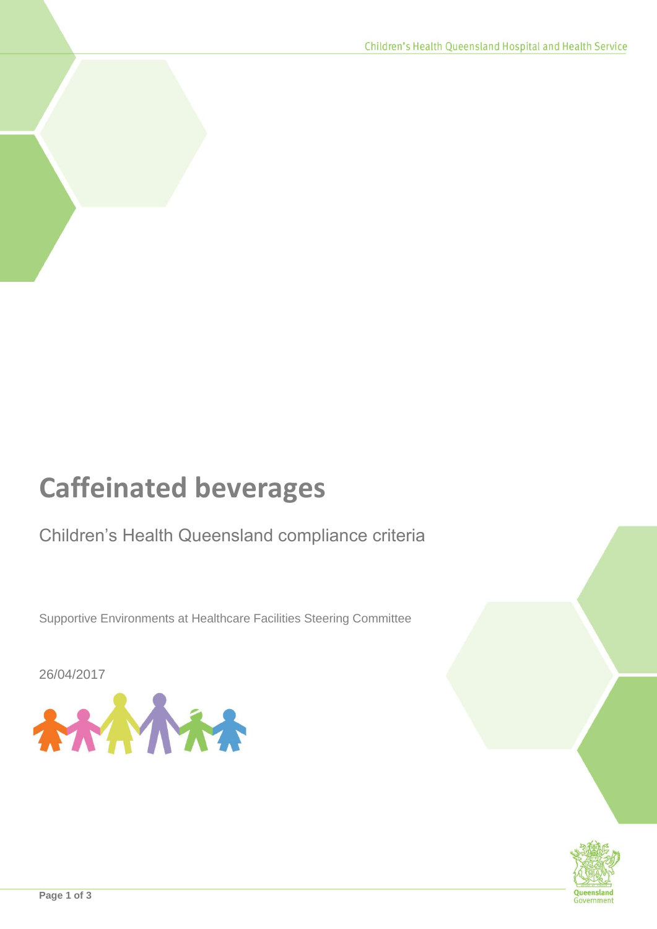## **Caffeinated beverages**

## Children's Health Queensland compliance criteria

Supportive Environments at Healthcare Facilities Steering Committee

26/04/2017





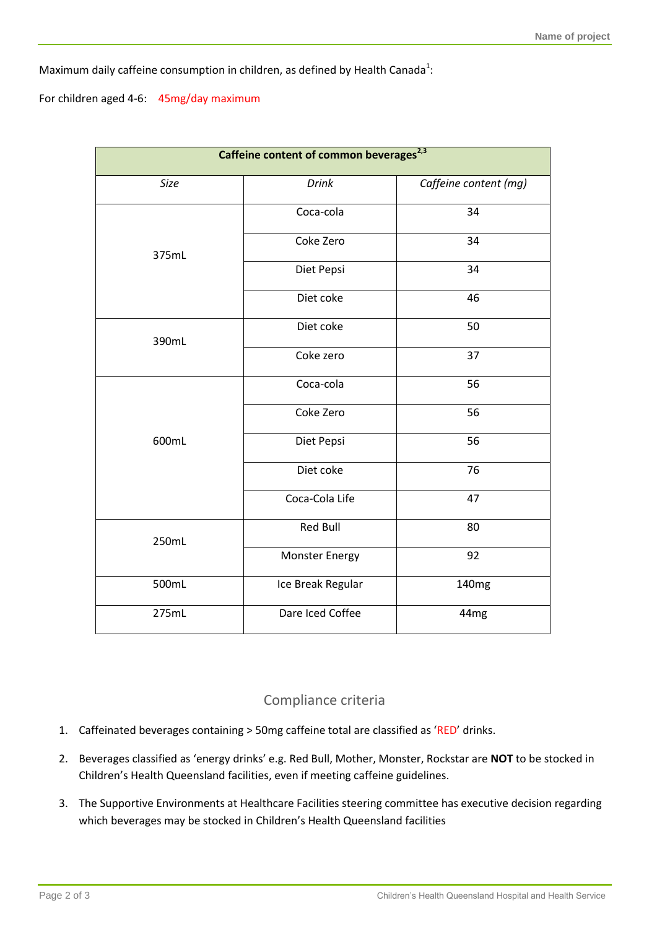Maximum daily caffeine consumption in children, as defined by Health Canada<sup>1</sup>:

For children aged 4-6: 45mg/day maximum

| Caffeine content of common beverages <sup>2,3</sup> |                       |                       |
|-----------------------------------------------------|-----------------------|-----------------------|
| Size                                                | <b>Drink</b>          | Caffeine content (mg) |
| 375mL                                               | Coca-cola             | 34                    |
|                                                     | Coke Zero             | 34                    |
|                                                     | Diet Pepsi            | 34                    |
|                                                     | Diet coke             | 46                    |
| 390mL                                               | Diet coke             | 50                    |
|                                                     | Coke zero             | 37                    |
| 600mL                                               | Coca-cola             | 56                    |
|                                                     | Coke Zero             | 56                    |
|                                                     | Diet Pepsi            | 56                    |
|                                                     | Diet coke             | 76                    |
|                                                     | Coca-Cola Life        | 47                    |
| 250mL                                               | <b>Red Bull</b>       | 80                    |
|                                                     | <b>Monster Energy</b> | 92                    |
| 500mL                                               | Ice Break Regular     | 140 <sub>mg</sub>     |
| 275mL                                               | Dare Iced Coffee      | 44 <sub>mg</sub>      |

## Compliance criteria

- 1. Caffeinated beverages containing > 50mg caffeine total are classified as 'RED' drinks.
- 2. Beverages classified as 'energy drinks' e.g. Red Bull, Mother, Monster, Rockstar are **NOT** to be stocked in Children's Health Queensland facilities, even if meeting caffeine guidelines.
- 3. The Supportive Environments at Healthcare Facilities steering committee has executive decision regarding which beverages may be stocked in Children's Health Queensland facilities